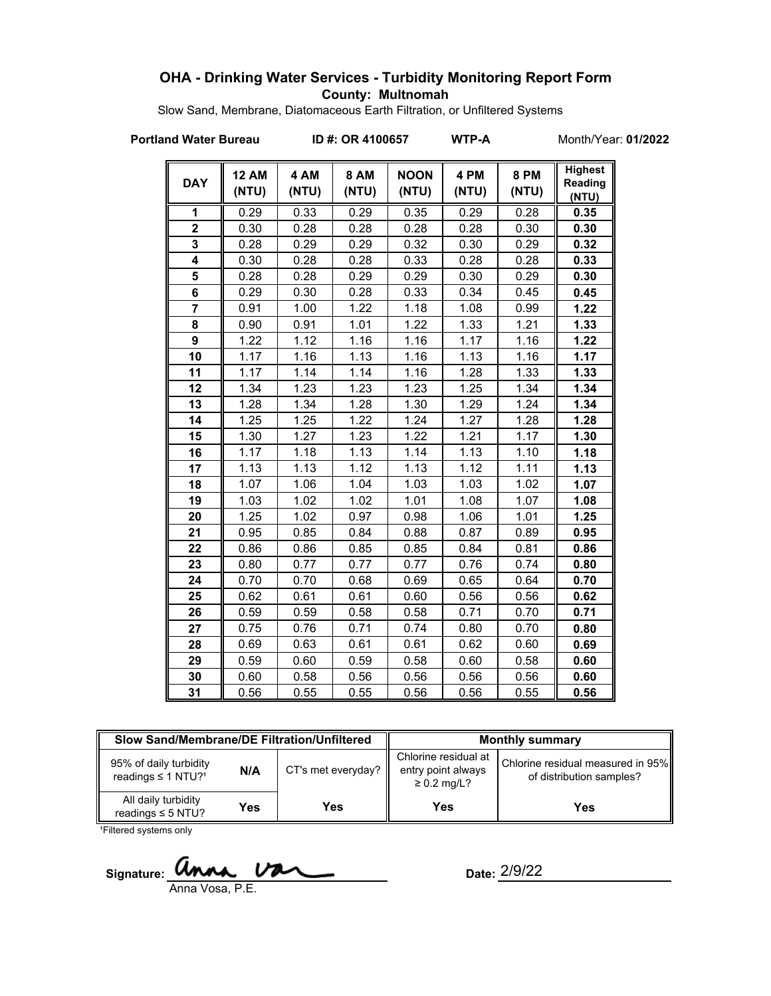# **OHA - Drinking Water Services - Turbidity Monitoring Report Form County: Multnomah**

Slow Sand, Membrane, Diatomaceous Earth Filtration, or Unfiltered Systems

**Portland Water Bureau ID #: OR 4100657 WTP-A** Month/Year: **01/2022**

| <b>DAY</b>     | <b>12 AM</b><br>(NTU) | 4 AM<br>(NTU) | <b>8 AM</b><br>(NTU) | <b>NOON</b><br>(NTU) | 4 PM<br>(NTU) | <b>8 PM</b><br>(NTU) | <b>Highest</b><br>Reading<br>(NTU) |
|----------------|-----------------------|---------------|----------------------|----------------------|---------------|----------------------|------------------------------------|
| 1              | 0.29                  | 0.33          | 0.29                 | 0.35                 | 0.29          | 0.28                 | 0.35                               |
| $\overline{2}$ | 0.30                  | 0.28          | 0.28                 | 0.28                 | 0.28          | 0.30                 | 0.30                               |
| 3              | 0.28                  | 0.29          | 0.29                 | 0.32                 | 0.30          | 0.29                 | 0.32                               |
| 4              | 0.30                  | 0.28          | 0.28                 | 0.33                 | 0.28          | 0.28                 | 0.33                               |
| 5              | 0.28                  | 0.28          | 0.29                 | 0.29                 | 0.30          | 0.29                 | 0.30                               |
| 6              | 0.29                  | 0.30          | 0.28                 | 0.33                 | 0.34          | 0.45                 | 0.45                               |
| $\overline{7}$ | 0.91                  | 1.00          | 1.22                 | 1.18                 | 1.08          | 0.99                 | 1.22                               |
| 8              | 0.90                  | 0.91          | 1.01                 | 1.22                 | 1.33          | 1.21                 | 1.33                               |
| 9              | 1.22                  | 1.12          | 1.16                 | 1.16                 | 1.17          | 1.16                 | 1.22                               |
| 10             | 1.17                  | 1.16          | 1.13                 | 1.16                 | 1.13          | 1.16                 | 1.17                               |
| 11             | 1.17                  | 1.14          | 1.14                 | 1.16                 | 1.28          | 1.33                 | 1.33                               |
| 12             | 1.34                  | 1.23          | 1.23                 | 1.23                 | 1.25          | 1.34                 | 1.34                               |
| 13             | 1.28                  | 1.34          | 1.28                 | 1.30                 | 1.29          | 1.24                 | 1.34                               |
| 14             | 1.25                  | 1.25          | 1.22                 | 1.24                 | 1.27          | 1.28                 | 1.28                               |
| 15             | 1.30                  | 1.27          | 1.23                 | 1.22                 | 1.21          | 1.17                 | 1.30                               |
| 16             | 1.17                  | 1.18          | 1.13                 | 1.14                 | 1.13          | 1.10                 | 1.18                               |
| 17             | 1.13                  | 1.13          | 1.12                 | 1.13                 | 1.12          | 1.11                 | 1.13                               |
| 18             | 1.07                  | 1.06          | 1.04                 | 1.03                 | 1.03          | 1.02                 | 1.07                               |
| 19             | 1.03                  | 1.02          | 1.02                 | 1.01                 | 1.08          | 1.07                 | 1.08                               |
| 20             | 1.25                  | 1.02          | 0.97                 | 0.98                 | 1.06          | 1.01                 | 1.25                               |
| 21             | 0.95                  | 0.85          | 0.84                 | 0.88                 | 0.87          | 0.89                 | 0.95                               |
| 22             | 0.86                  | 0.86          | 0.85                 | 0.85                 | 0.84          | 0.81                 | 0.86                               |
| 23             | 0.80                  | 0.77          | 0.77                 | 0.77                 | 0.76          | 0.74                 | 0.80                               |
| 24             | 0.70                  | 0.70          | 0.68                 | 0.69                 | 0.65          | 0.64                 | 0.70                               |
| 25             | 0.62                  | 0.61          | 0.61                 | 0.60                 | 0.56          | 0.56                 | 0.62                               |
| 26             | 0.59                  | 0.59          | 0.58                 | 0.58                 | 0.71          | 0.70                 | 0.71                               |
| 27             | 0.75                  | 0.76          | 0.71                 | 0.74                 | 0.80          | 0.70                 | 0.80                               |
| 28             | 0.69                  | 0.63          | 0.61                 | 0.61                 | 0.62          | 0.60                 | 0.69                               |
| 29             | 0.59                  | 0.60          | 0.59                 | 0.58                 | 0.60          | 0.58                 | 0.60                               |
| 30             | 0.60                  | 0.58          | 0.56                 | 0.56                 | 0.56          | 0.56                 | 0.60                               |
| 31             | 0.56                  | 0.55          | 0.55                 | 0.56                 | 0.56          | 0.55                 | 0.56                               |

| Slow Sand/Membrane/DE Filtration/Unfiltered                     |     |                    | <b>Monthly summary</b>                                         |                                                               |  |
|-----------------------------------------------------------------|-----|--------------------|----------------------------------------------------------------|---------------------------------------------------------------|--|
| 95% of daily turbidity<br>N/A<br>readings ≤ 1 NTU? <sup>1</sup> |     | CT's met everyday? | Chlorine residual at<br>entry point always<br>$\geq$ 0.2 mg/L? | Chlorine residual measured in 95%<br>of distribution samples? |  |
| All daily turbidity<br>readings $\leq$ 5 NTU?                   | Yes | Yes                | Yes                                                            | Yes                                                           |  |

<sup>1</sup>Filtered systems only

Signature: **WINK VALL** Date:

Anna Vosa, P.E.

Date: 2/9/22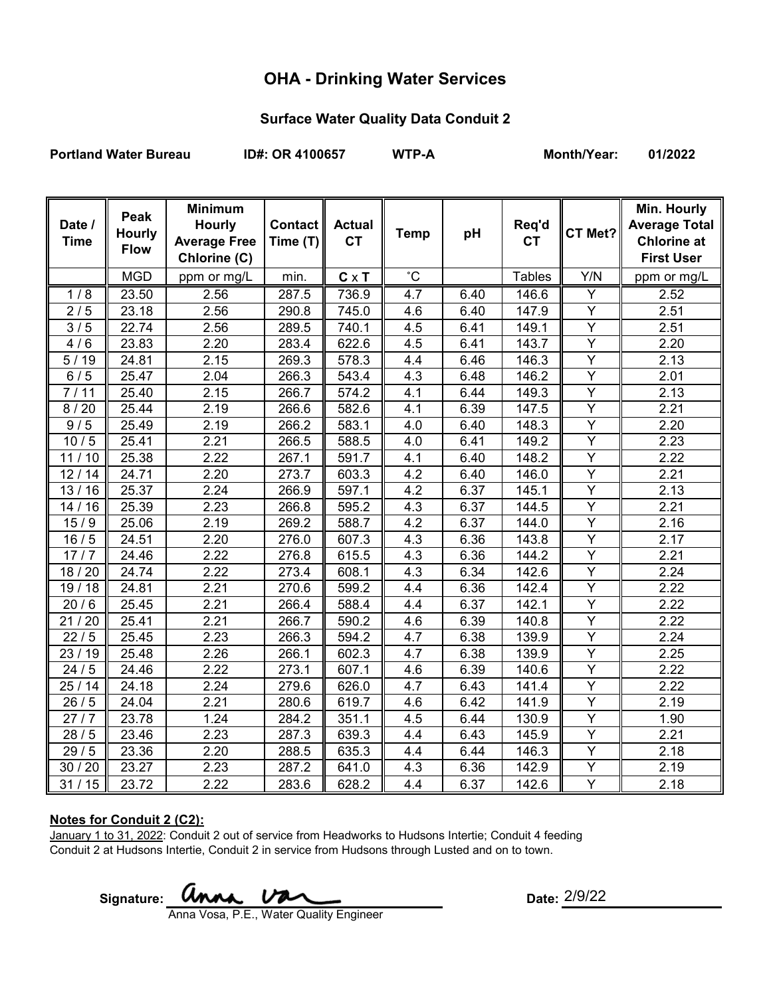# **OHA - Drinking Water Services**

## **Surface Water Quality Data Conduit 2**

Portland Water Bureau **ID#: OR 4100657** WTP-A Month/Year: 01/2022

| Date /<br><b>Time</b> | Peak<br><b>Hourly</b> | <b>Minimum</b><br><b>Hourly</b><br><b>Average Free</b> | Contact<br>Time (T) | <b>Actual</b><br><b>CT</b> | <b>Temp</b>      | pH   | Req'd<br><b>CT</b> | CT Met?        | Min. Hourly<br><b>Average Total</b><br><b>Chlorine at</b> |
|-----------------------|-----------------------|--------------------------------------------------------|---------------------|----------------------------|------------------|------|--------------------|----------------|-----------------------------------------------------------|
|                       | <b>Flow</b>           | Chlorine (C)                                           |                     |                            |                  |      |                    |                | <b>First User</b>                                         |
|                       | <b>MGD</b>            | ppm or mg/L                                            | min.                | $C \times T$               | $\overline{c}$   |      | <b>Tables</b>      | Y/N            | ppm or mg/L                                               |
| 1/8                   | 23.50                 | 2.56                                                   | 287.5               | 736.9                      | 4.7              | 6.40 | 146.6              | Y              | 2.52                                                      |
| 2/5                   | 23.18                 | 2.56                                                   | 290.8               | 745.0                      | 4.6              | 6.40 | 147.9              | Υ              | 2.51                                                      |
| 3/5                   | 22.74                 | 2.56                                                   | 289.5               | 740.1                      | 4.5              | 6.41 | 149.1              | $\overline{Y}$ | 2.51                                                      |
| 4/6                   | 23.83                 | 2.20                                                   | 283.4               | 622.6                      | 4.5              | 6.41 | 143.7              | $\overline{Y}$ | 2.20                                                      |
| 5/19                  | 24.81                 | 2.15                                                   | 269.3               | 578.3                      | 4.4              | 6.46 | 146.3              | $\overline{Y}$ | 2.13                                                      |
| 6/5                   | 25.47                 | 2.04                                                   | 266.3               | 543.4                      | 4.3              | 6.48 | 146.2              | Υ              | 2.01                                                      |
| 7/11                  | 25.40                 | 2.15                                                   | 266.7               | $\overline{574.2}$         | 4.1              | 6.44 | 149.3              | Y              | 2.13                                                      |
| 8/20                  | 25.44                 | 2.19                                                   | 266.6               | 582.6                      | 4.1              | 6.39 | 147.5              | Y              | 2.21                                                      |
| 9/5                   | 25.49                 | 2.19                                                   | 266.2               | 583.1                      | 4.0              | 6.40 | 148.3              | Y              | 2.20                                                      |
| 10/5                  | 25.41                 | 2.21                                                   | 266.5               | 588.5                      | 4.0              | 6.41 | 149.2              | $\overline{Y}$ | 2.23                                                      |
| 11/10                 | 25.38                 | 2.22                                                   | 267.1               | 591.7                      | 4.1              | 6.40 | 148.2              | Y              | 2.22                                                      |
| 12/14                 | $\overline{24.71}$    | 2.20                                                   | 273.7               | 603.3                      | 4.2              | 6.40 | 146.0              | $\overline{Y}$ | 2.21                                                      |
| 13/16                 | 25.37                 | 2.24                                                   | 266.9               | 597.1                      | 4.2              | 6.37 | 145.1              | Y              | 2.13                                                      |
| 14/16                 | 25.39                 | 2.23                                                   | 266.8               | 595.2                      | 4.3              | 6.37 | 144.5              | $\overline{Y}$ | 2.21                                                      |
| 15/9                  | 25.06                 | 2.19                                                   | 269.2               | 588.7                      | 4.2              | 6.37 | 144.0              | Y              | 2.16                                                      |
| 16/5                  | 24.51                 | 2.20                                                   | 276.0               | 607.3                      | 4.3              | 6.36 | 143.8              | $\overline{Y}$ | 2.17                                                      |
| 17/7                  | 24.46                 | 2.22                                                   | 276.8               | 615.5                      | $4.\overline{3}$ | 6.36 | 144.2              | $\overline{Y}$ | 2.21                                                      |
| 18 / 20               | 24.74                 | 2.22                                                   | 273.4               | 608.1                      | 4.3              | 6.34 | 142.6              | Y              | 2.24                                                      |
| 19/18                 | 24.81                 | 2.21                                                   | 270.6               | 599.2                      | 4.4              | 6.36 | 142.4              | Ÿ              | 2.22                                                      |
| 20/6                  | 25.45                 | 2.21                                                   | 266.4               | 588.4                      | 4.4              | 6.37 | 142.1              | $\overline{Y}$ | 2.22                                                      |
| 21/20                 | 25.41                 | 2.21                                                   | 266.7               | 590.2                      | 4.6              | 6.39 | 140.8              | $\overline{Y}$ | 2.22                                                      |
| 22/5                  | 25.45                 | 2.23                                                   | 266.3               | 594.2                      | 4.7              | 6.38 | 139.9              | Y              | 2.24                                                      |
| 23 / 19               | 25.48                 | 2.26                                                   | 266.1               | 602.3                      | 4.7              | 6.38 | 139.9              | Y              | 2.25                                                      |
| 24/5                  | 24.46                 | 2.22                                                   | 273.1               | 607.1                      | 4.6              | 6.39 | 140.6              | Y              | 2.22                                                      |
| 25/14                 | 24.18                 | 2.24                                                   | 279.6               | 626.0                      | 4.7              | 6.43 | 141.4              | Y              | 2.22                                                      |
| 26/5                  | 24.04                 | 2.21                                                   | 280.6               | 619.7                      | 4.6              | 6.42 | 141.9              | $\overline{Y}$ | 2.19                                                      |
| 27/7                  | 23.78                 | 1.24                                                   | 284.2               | 351.1                      | 4.5              | 6.44 | 130.9              | Y              | 1.90                                                      |
| $\overline{28}/5$     | 23.46                 | 2.23                                                   | 287.3               | 639.3                      | 4.4              | 6.43 | 145.9              | $\overline{Y}$ | 2.21                                                      |
| 29/5                  | 23.36                 | 2.20                                                   | 288.5               | 635.3                      | 4.4              | 6.44 | 146.3              | Y              | 2.18                                                      |
| 30 / 20               | 23.27                 | 2.23                                                   | 287.2               | 641.0                      | 4.3              | 6.36 | 142.9              | $\overline{Y}$ | 2.19                                                      |
| 31/15                 | 23.72                 | 2.22                                                   | 283.6               | 628.2                      | 4.4              | 6.37 | 142.6              | Y              | 2.18                                                      |

### **Notes for Conduit 2 (C2):**

January 1 to 31, 2022: Conduit 2 out of service from Headworks to Hudsons Intertie; Conduit 4 feeding Conduit 2 at Hudsons Intertie, Conduit 2 in service from Hudsons through Lusted and on to town.

Signature: **UNNA.** UNCLE **CONTRANSIGNATION** Date:

Date: 2/9/22

Anna Vosa, P.E., Water Quality Engineer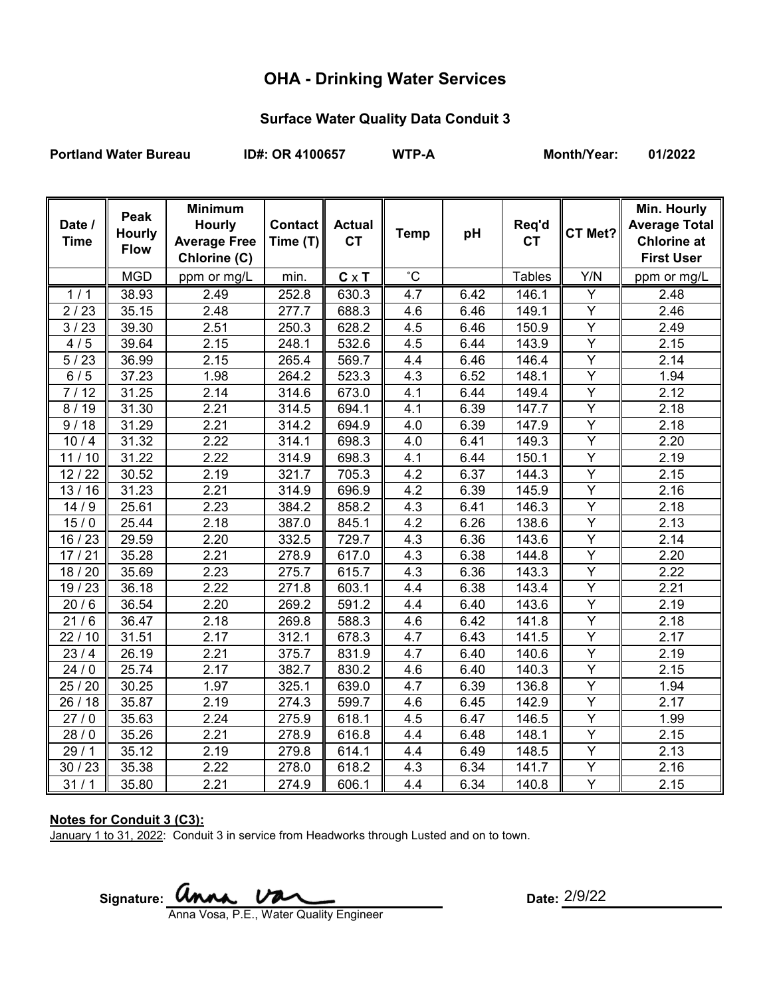# **OHA - Drinking Water Services**

## **Surface Water Quality Data Conduit 3**

Portland Water Bureau **ID#: OR 4100657** WTP-A Month/Year: 01/2022

| Date /             | Peak          | <b>Minimum</b><br><b>Hourly</b> | Contact  | <b>Actual</b> |                |      | Req'd         |                | Min. Hourly<br><b>Average Total</b> |
|--------------------|---------------|---------------------------------|----------|---------------|----------------|------|---------------|----------------|-------------------------------------|
| <b>Time</b>        | <b>Hourly</b> | <b>Average Free</b>             | Time (T) | <b>CT</b>     | <b>Temp</b>    | pH   | <b>CT</b>     | CT Met?        | <b>Chlorine at</b>                  |
|                    | <b>Flow</b>   | Chlorine (C)                    |          |               |                |      |               |                | <b>First User</b>                   |
|                    | <b>MGD</b>    | ppm or mg/L                     | min.     | $C \times T$  | $\overline{c}$ |      | <b>Tables</b> | Y/N            | ppm or mg/L                         |
| 1/1                | 38.93         | 2.49                            | 252.8    | 630.3         | 4.7            | 6.42 | 146.1         | Y              | 2.48                                |
| 2/23               | 35.15         | 2.48                            | 277.7    | 688.3         | 4.6            | 6.46 | 149.1         | Y              | 2.46                                |
| 3/23               | 39.30         | 2.51                            | 250.3    | 628.2         | 4.5            | 6.46 | 150.9         | $\overline{Y}$ | 2.49                                |
| 4/5                | 39.64         | 2.15                            | 248.1    | 532.6         | 4.5            | 6.44 | 143.9         | $\overline{Y}$ | 2.15                                |
| 5/23               | 36.99         | 2.15                            | 265.4    | 569.7         | 4.4            | 6.46 | 146.4         | $\overline{Y}$ | 2.14                                |
| 6/5                | 37.23         | 1.98                            | 264.2    | 523.3         | 4.3            | 6.52 | 148.1         | Y              | 1.94                                |
| 7/12               | 31.25         | 2.14                            | 314.6    | 673.0         | 4.1            | 6.44 | 149.4         | $\overline{Y}$ | 2.12                                |
| 8/19               | 31.30         | 2.21                            | 314.5    | 694.1         | 4.1            | 6.39 | 147.7         | Y              | 2.18                                |
| 9/18               | 31.29         | 2.21                            | 314.2    | 694.9         | 4.0            | 6.39 | 147.9         | $\overline{Y}$ | 2.18                                |
| 10/4               | 31.32         | 2.22                            | 314.1    | 698.3         | 4.0            | 6.41 | 149.3         | $\overline{Y}$ | 2.20                                |
| 11/10              | 31.22         | 2.22                            | 314.9    | 698.3         | 4.1            | 6.44 | 150.1         | $\overline{Y}$ | 2.19                                |
| 12/22              | 30.52         | 2.19                            | 321.7    | 705.3         | 4.2            | 6.37 | 144.3         | $\overline{Y}$ | 2.15                                |
| 13/16              | 31.23         | 2.21                            | 314.9    | 696.9         | 4.2            | 6.39 | 145.9         | Y              | 2.16                                |
| 14/9               | 25.61         | 2.23                            | 384.2    | 858.2         | 4.3            | 6.41 | 146.3         | $\overline{Y}$ | 2.18                                |
| 15/0               | 25.44         | 2.18                            | 387.0    | 845.1         | 4.2            | 6.26 | 138.6         | $\overline{Y}$ | 2.13                                |
| 16 / 23            | 29.59         | 2.20                            | 332.5    | 729.7         | 4.3            | 6.36 | 143.6         | Y              | 2.14                                |
| 17/21              | 35.28         | 2.21                            | 278.9    | 617.0         | 4.3            | 6.38 | 144.8         | $\overline{Y}$ | 2.20                                |
| 18 / 20            | 35.69         | 2.23                            | 275.7    | 615.7         | 4.3            | 6.36 | 143.3         | Y              | 2.22                                |
| 19/23              | 36.18         | 2.22                            | 271.8    | 603.1         | 4.4            | 6.38 | 143.4         | $\overline{Y}$ | 2.21                                |
| 20/6               | 36.54         | 2.20                            | 269.2    | 591.2         | 4.4            | 6.40 | 143.6         | $\overline{Y}$ | 2.19                                |
| 21/6               | 36.47         | 2.18                            | 269.8    | 588.3         | 4.6            | 6.42 | 141.8         | $\overline{Y}$ | 2.18                                |
| 22/10              | 31.51         | 2.17                            | 312.1    | 678.3         | 4.7            | 6.43 | 141.5         | Y              | 2.17                                |
| 23/4               | 26.19         | 2.21                            | 375.7    | 831.9         | 4.7            | 6.40 | 140.6         | Y              | 2.19                                |
| $\frac{1}{24}$ / 0 | 25.74         | 2.17                            | 382.7    | 830.2         | 4.6            | 6.40 | 140.3         | Y              | 2.15                                |
| 25 / 20            | 30.25         | 1.97                            | 325.1    | 639.0         | 4.7            | 6.39 | 136.8         | Y              | 1.94                                |
| 26 / 18            | 35.87         | 2.19                            | 274.3    | 599.7         | 4.6            | 6.45 | 142.9         | $\overline{Y}$ | 2.17                                |
| 27/0               | 35.63         | 2.24                            | 275.9    | 618.1         | 4.5            | 6.47 | 146.5         | $\overline{Y}$ | 1.99                                |
| 28/0               | 35.26         | 2.21                            | 278.9    | 616.8         | 4.4            | 6.48 | 148.1         | $\overline{Y}$ | 2.15                                |
| 29/1               | 35.12         | 2.19                            | 279.8    | 614.1         | 4.4            | 6.49 | 148.5         | Y              | 2.13                                |
| 30/23              | 35.38         | 2.22                            | 278.0    | 618.2         | 4.3            | 6.34 | 141.7         | $\overline{Y}$ | 2.16                                |
| 31/1               | 35.80         | 2.21                            | 274.9    | 606.1         | 4.4            | 6.34 | 140.8         | Y              | 2.15                                |

### **Notes for Conduit 3 (C3):**

January 1 to 31, 2022: Conduit 3 in service from Headworks through Lusted and on to town.

Signature: **Unna** Va Anna Vosa, P.E., Water Quality Engineer

Date: 2/9/22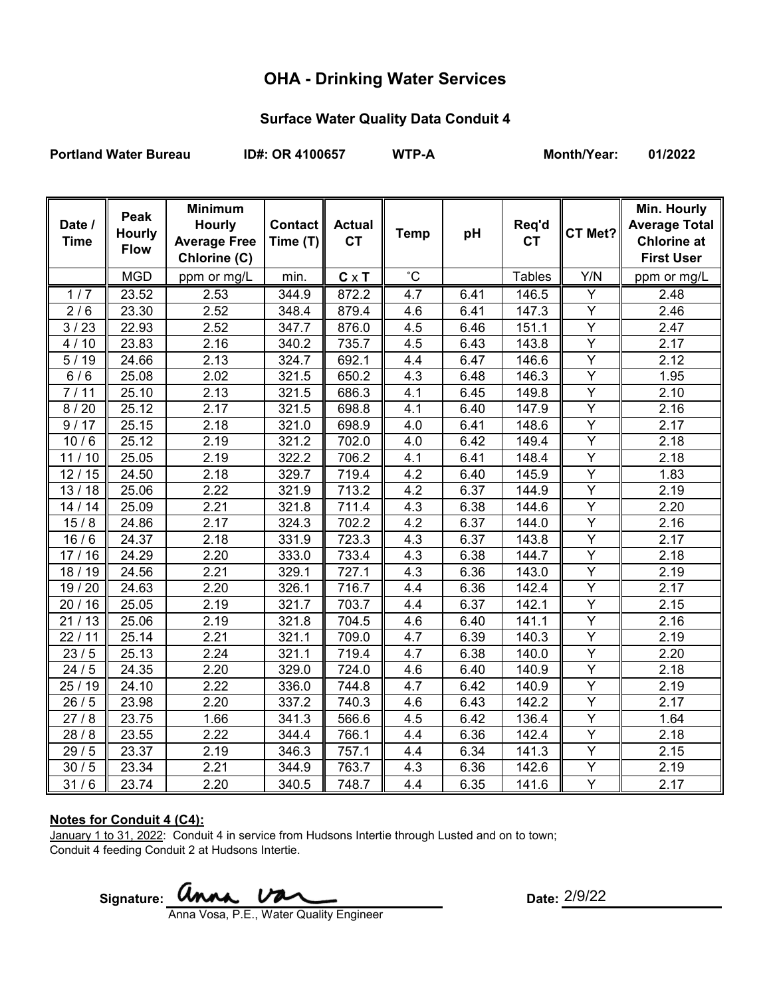# **OHA - Drinking Water Services**

## **Surface Water Quality Data Conduit 4**

Portland Water Bureau **ID#: OR 4100657** WTP-A Month/Year: 01/2022

| Date /             | Peak          | <b>Minimum</b><br><b>Hourly</b> | <b>Contact</b> | <b>Actual</b> |                |      | Req'd         |                | Min. Hourly<br><b>Average Total</b> |
|--------------------|---------------|---------------------------------|----------------|---------------|----------------|------|---------------|----------------|-------------------------------------|
| <b>Time</b>        | <b>Hourly</b> | <b>Average Free</b>             | Time (T)       | <b>CT</b>     | <b>Temp</b>    | pH   | <b>CT</b>     | CT Met?        | <b>Chlorine at</b>                  |
|                    | <b>Flow</b>   | Chlorine (C)                    |                |               |                |      |               |                | <b>First User</b>                   |
|                    | <b>MGD</b>    | ppm or mg/L                     | min.           | $C \times T$  | $\overline{c}$ |      | <b>Tables</b> | Y/N            | ppm or mg/L                         |
| $\overline{1}/7$   | 23.52         | 2.53                            | 344.9          | 872.2         | 4.7            | 6.41 | 146.5         | Y              | 2.48                                |
| 2/6                | 23.30         | 2.52                            | 348.4          | 879.4         | 4.6            | 6.41 | 147.3         | $\overline{Y}$ | 2.46                                |
| 3/23               | 22.93         | 2.52                            | 347.7          | 876.0         | 4.5            | 6.46 | 151.1         | Y              | 2.47                                |
| 4/10               | 23.83         | 2.16                            | 340.2          | 735.7         | 4.5            | 6.43 | 143.8         | Y              | 2.17                                |
| 5/19               | 24.66         | 2.13                            | 324.7          | 692.1         | 4.4            | 6.47 | 146.6         | $\overline{Y}$ | 2.12                                |
| 6/6                | 25.08         | 2.02                            | 321.5          | 650.2         | 4.3            | 6.48 | 146.3         | Υ              | 1.95                                |
| 7/11               | 25.10         | 2.13                            | 321.5          | 686.3         | 4.1            | 6.45 | 149.8         | Y              | 2.10                                |
| 8/20               | 25.12         | 2.17                            | 321.5          | 698.8         | 4.1            | 6.40 | 147.9         | Y              | 2.16                                |
| 9/17               | 25.15         | 2.18                            | 321.0          | 698.9         | 4.0            | 6.41 | 148.6         | Ÿ              | 2.17                                |
| 10/6               | 25.12         | 2.19                            | 321.2          | 702.0         | 4.0            | 6.42 | 149.4         | Y              | 2.18                                |
| 11/10              | 25.05         | 2.19                            | 322.2          | 706.2         | 4.1            | 6.41 | 148.4         | Ÿ              | 2.18                                |
| 12/15              | 24.50         | 2.18                            | 329.7          | 719.4         | 4.2            | 6.40 | 145.9         | $\overline{Y}$ | 1.83                                |
| 13/18              | 25.06         | 2.22                            | 321.9          | 713.2         | 4.2            | 6.37 | 144.9         | $\overline{Y}$ | 2.19                                |
| 14/14              | 25.09         | 2.21                            | 321.8          | 711.4         | 4.3            | 6.38 | 144.6         | $\overline{Y}$ | 2.20                                |
| 15/8               | 24.86         | 2.17                            | 324.3          | 702.2         | 4.2            | 6.37 | 144.0         | Y              | 2.16                                |
| 16/6               | 24.37         | 2.18                            | 331.9          | 723.3         | 4.3            | 6.37 | 143.8         | $\overline{Y}$ | 2.17                                |
| 17/16              | 24.29         | 2.20                            | 333.0          | 733.4         | 4.3            | 6.38 | 144.7         | $\overline{Y}$ | 2.18                                |
| 18 / 19            | 24.56         | 2.21                            | 329.1          | 727.1         | 4.3            | 6.36 | 143.0         | $\overline{Y}$ | 2.19                                |
| 19 / 20            | 24.63         | 2.20                            | 326.1          | 716.7         | 4.4            | 6.36 | 142.4         | Y              | 2.17                                |
| 20/16              | 25.05         | 2.19                            | 321.7          | 703.7         | 4.4            | 6.37 | 142.1         | $\overline{Y}$ | 2.15                                |
| 21/13              | 25.06         | 2.19                            | 321.8          | 704.5         | 4.6            | 6.40 | 141.1         | $\overline{Y}$ | 2.16                                |
| 22/11              | 25.14         | 2.21                            | 321.1          | 709.0         | 4.7            | 6.39 | 140.3         | Y              | 2.19                                |
| $\overline{2}3/5$  | 25.13         | 2.24                            | 321.1          | 719.4         | 4.7            | 6.38 | 140.0         | Υ              | 2.20                                |
| $\overline{2}$ 4/5 | 24.35         | 2.20                            | 329.0          | 724.0         | 4.6            | 6.40 | 140.9         | $\overline{Y}$ | 2.18                                |
| 25 / 19            | 24.10         | 2.22                            | 336.0          | 744.8         | 4.7            | 6.42 | 140.9         | Y              | 2.19                                |
| 26/5               | 23.98         | 2.20                            | 337.2          | 740.3         | 4.6            | 6.43 | 142.2         | $\overline{Y}$ | 2.17                                |
| 27/8               | 23.75         | 1.66                            | 341.3          | 566.6         | 4.5            | 6.42 | 136.4         | Y              | 1.64                                |
| $\frac{1}{28}$ / 8 | 23.55         | 2.22                            | 344.4          | 766.1         | 4.4            | 6.36 | 142.4         | $\overline{Y}$ | 2.18                                |
| 29/5               | 23.37         | 2.19                            | 346.3          | 757.1         | 4.4            | 6.34 | 141.3         | Y              | 2.15                                |
| 30/5               | 23.34         | 2.21                            | 344.9          | 763.7         | 4.3            | 6.36 | 142.6         | Y              | 2.19                                |
| 31/6               | 23.74         | 2.20                            | 340.5          | 748.7         | 4.4            | 6.35 | 141.6         | Y              | 2.17                                |

### **Notes for Conduit 4 (C4):**

January 1 to 31, 2022: Conduit 4 in service from Hudsons Intertie through Lusted and on to town; Conduit 4 feeding Conduit 2 at Hudsons Intertie.

Signature: **WINAL UPAL** CONTROLLER: Date:

Date: 2/9/22

Anna Vosa, P.E., Water Quality Engineer